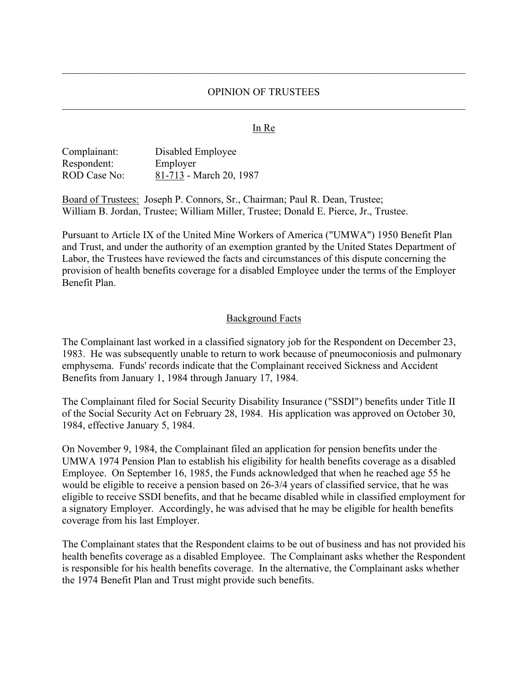### OPINION OF TRUSTEES

### In Re

| Complainant: | Disabled Employee       |
|--------------|-------------------------|
| Respondent:  | Employer                |
| ROD Case No: | 81-713 - March 20, 1987 |

Board of Trustees: Joseph P. Connors, Sr., Chairman; Paul R. Dean, Trustee; William B. Jordan, Trustee; William Miller, Trustee; Donald E. Pierce, Jr., Trustee.

Pursuant to Article IX of the United Mine Workers of America ("UMWA") 1950 Benefit Plan and Trust, and under the authority of an exemption granted by the United States Department of Labor, the Trustees have reviewed the facts and circumstances of this dispute concerning the provision of health benefits coverage for a disabled Employee under the terms of the Employer Benefit Plan.

#### Background Facts

The Complainant last worked in a classified signatory job for the Respondent on December 23, 1983. He was subsequently unable to return to work because of pneumoconiosis and pulmonary emphysema. Funds' records indicate that the Complainant received Sickness and Accident Benefits from January 1, 1984 through January 17, 1984.

The Complainant filed for Social Security Disability Insurance ("SSDI") benefits under Title II of the Social Security Act on February 28, 1984. His application was approved on October 30, 1984, effective January 5, 1984.

On November 9, 1984, the Complainant filed an application for pension benefits under the UMWA 1974 Pension Plan to establish his eligibility for health benefits coverage as a disabled Employee. On September 16, 1985, the Funds acknowledged that when he reached age 55 he would be eligible to receive a pension based on 26-3/4 years of classified service, that he was eligible to receive SSDI benefits, and that he became disabled while in classified employment for a signatory Employer. Accordingly, he was advised that he may be eligible for health benefits coverage from his last Employer.

The Complainant states that the Respondent claims to be out of business and has not provided his health benefits coverage as a disabled Employee. The Complainant asks whether the Respondent is responsible for his health benefits coverage. In the alternative, the Complainant asks whether the 1974 Benefit Plan and Trust might provide such benefits.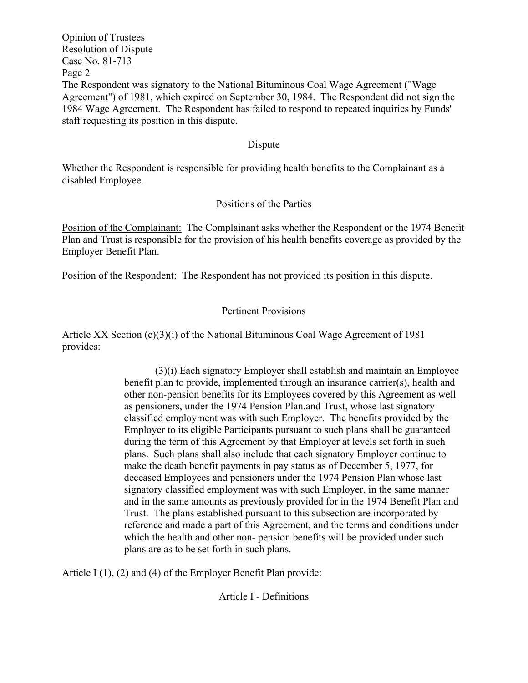Opinion of Trustees Resolution of Dispute Case No. 81-713 Page 2 The Respondent was signatory to the National Bituminous Coal Wage Agreement ("Wage Agreement") of 1981, which expired on September 30, 1984. The Respondent did not sign the 1984 Wage Agreement. The Respondent has failed to respond to repeated inquiries by Funds' staff requesting its position in this dispute.

### Dispute

Whether the Respondent is responsible for providing health benefits to the Complainant as a disabled Employee.

### Positions of the Parties

Position of the Complainant: The Complainant asks whether the Respondent or the 1974 Benefit Plan and Trust is responsible for the provision of his health benefits coverage as provided by the Employer Benefit Plan.

Position of the Respondent: The Respondent has not provided its position in this dispute.

# Pertinent Provisions

Article XX Section  $(c)(3)(i)$  of the National Bituminous Coal Wage Agreement of 1981 provides:

> (3)(i) Each signatory Employer shall establish and maintain an Employee benefit plan to provide, implemented through an insurance carrier(s), health and other non-pension benefits for its Employees covered by this Agreement as well as pensioners, under the 1974 Pension Plan.and Trust, whose last signatory classified employment was with such Employer. The benefits provided by the Employer to its eligible Participants pursuant to such plans shall be guaranteed during the term of this Agreement by that Employer at levels set forth in such plans. Such plans shall also include that each signatory Employer continue to make the death benefit payments in pay status as of December 5, 1977, for deceased Employees and pensioners under the 1974 Pension Plan whose last signatory classified employment was with such Employer, in the same manner and in the same amounts as previously provided for in the 1974 Benefit Plan and Trust. The plans established pursuant to this subsection are incorporated by reference and made a part of this Agreement, and the terms and conditions under which the health and other non- pension benefits will be provided under such plans are as to be set forth in such plans.

Article I (1), (2) and (4) of the Employer Benefit Plan provide:

Article I - Definitions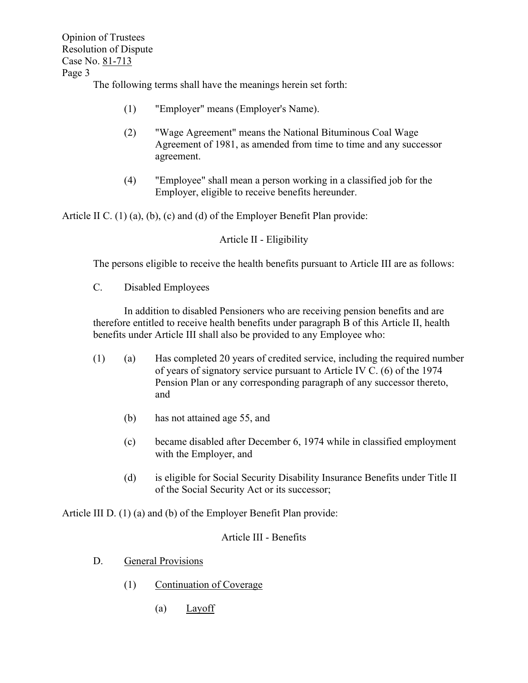Opinion of Trustees Resolution of Dispute Case No. 81-713 Page 3

The following terms shall have the meanings herein set forth:

- (1) "Employer" means (Employer's Name).
- (2) "Wage Agreement" means the National Bituminous Coal Wage Agreement of 1981, as amended from time to time and any successor agreement.
- (4) "Employee" shall mean a person working in a classified job for the Employer, eligible to receive benefits hereunder.

Article II C. (1) (a), (b), (c) and (d) of the Employer Benefit Plan provide:

Article II - Eligibility

The persons eligible to receive the health benefits pursuant to Article III are as follows:

C. Disabled Employees

In addition to disabled Pensioners who are receiving pension benefits and are therefore entitled to receive health benefits under paragraph B of this Article II, health benefits under Article III shall also be provided to any Employee who:

- (1) (a) Has completed 20 years of credited service, including the required number of years of signatory service pursuant to Article IV C. (6) of the 1974 Pension Plan or any corresponding paragraph of any successor thereto, and
	- (b) has not attained age 55, and
	- (c) became disabled after December 6, 1974 while in classified employment with the Employer, and
	- (d) is eligible for Social Security Disability Insurance Benefits under Title II of the Social Security Act or its successor;

Article III D. (1) (a) and (b) of the Employer Benefit Plan provide:

## Article III - Benefits

- D. General Provisions
	- (1) Continuation of Coverage
		- (a) Layoff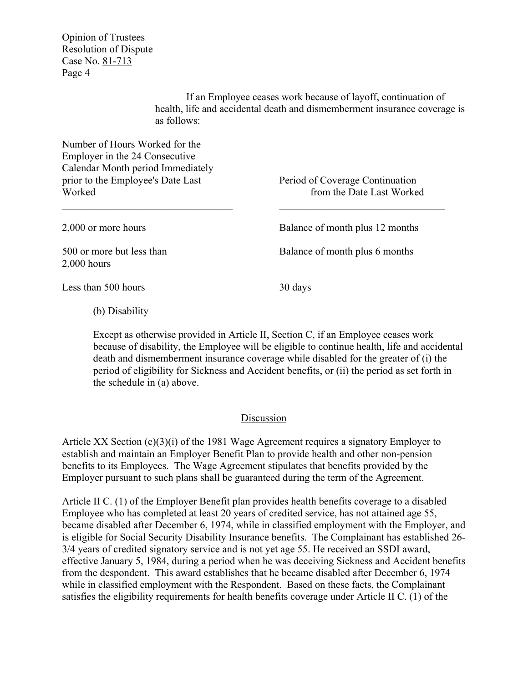Opinion of Trustees Resolution of Dispute Case No. 81-713 Page 4

> If an Employee ceases work because of layoff, continuation of health, life and accidental death and dismemberment insurance coverage is as follows:

Number of Hours Worked for the Employer in the 24 Consecutive Calendar Month period Immediately prior to the Employee's Date Last Period of Coverage Continuation Worked **From the Date Last Worked from the Date Last Worked** 

2,000 hours

2,000 or more hours Balance of month plus 12 months

500 or more but less than Balance of month plus 6 months

Less than 500 hours 30 days

(b) Disability

Except as otherwise provided in Article II, Section C, if an Employee ceases work because of disability, the Employee will be eligible to continue health, life and accidental death and dismemberment insurance coverage while disabled for the greater of (i) the period of eligibility for Sickness and Accident benefits, or (ii) the period as set forth in the schedule in (a) above.

### Discussion

Article XX Section  $(c)(3)(i)$  of the 1981 Wage Agreement requires a signatory Employer to establish and maintain an Employer Benefit Plan to provide health and other non-pension benefits to its Employees. The Wage Agreement stipulates that benefits provided by the Employer pursuant to such plans shall be guaranteed during the term of the Agreement.

Article II C. (1) of the Employer Benefit plan provides health benefits coverage to a disabled Employee who has completed at least 20 years of credited service, has not attained age 55, became disabled after December 6, 1974, while in classified employment with the Employer, and is eligible for Social Security Disability Insurance benefits. The Complainant has established 26- 3/4 years of credited signatory service and is not yet age 55. He received an SSDI award, effective January 5, 1984, during a period when he was deceiving Sickness and Accident benefits from the despondent. This award establishes that he became disabled after December 6, 1974 while in classified employment with the Respondent. Based on these facts, the Complainant satisfies the eligibility requirements for health benefits coverage under Article II C. (1) of the